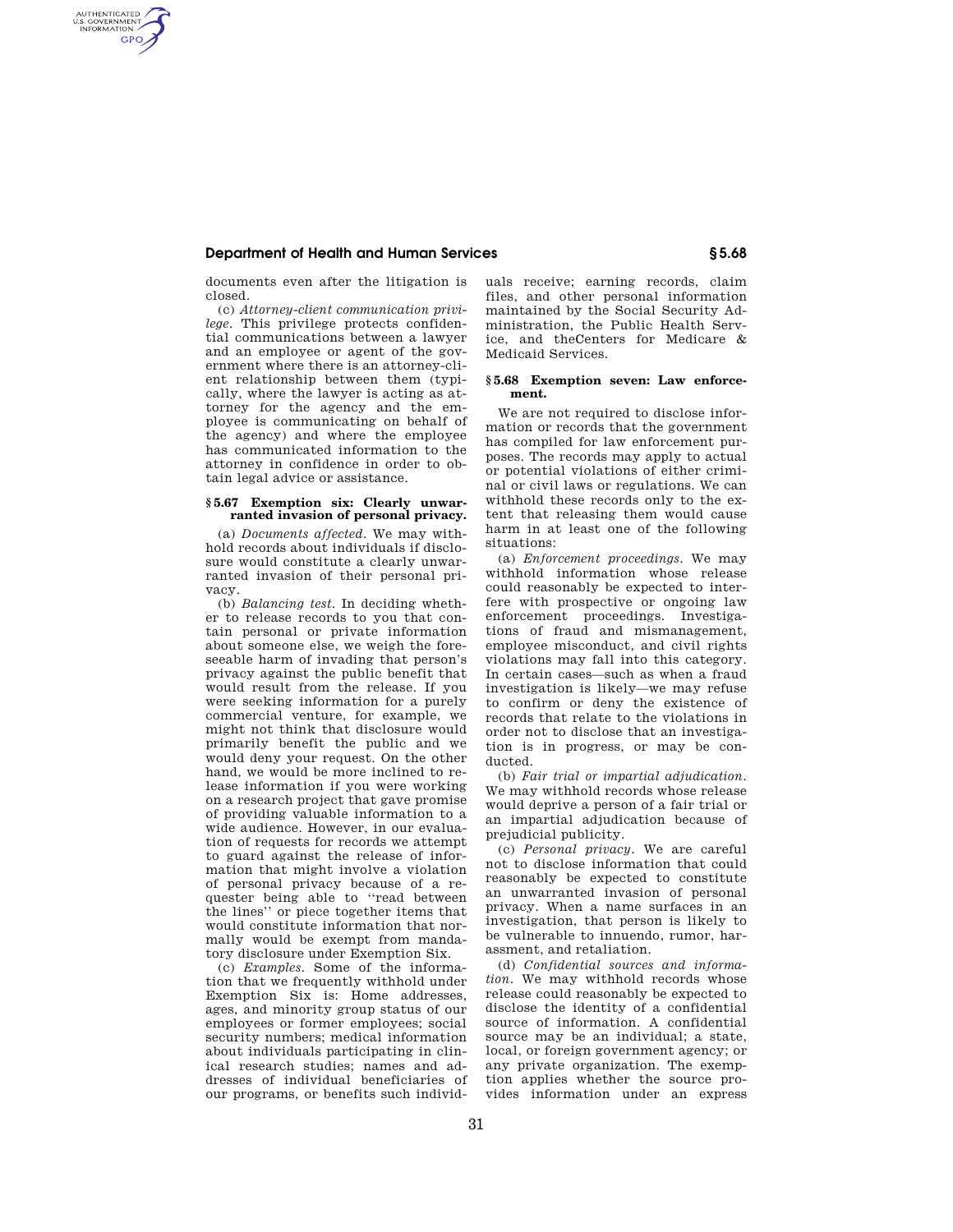### **Department of Health and Human Services § 5.68**

documents even after the litigation is closed.

AUTHENTICATED<br>U.S. GOVERNMENT<br>INFORMATION **GPO** 

> (c) *Attorney-client communication privilege.* This privilege protects confidential communications between a lawyer and an employee or agent of the government where there is an attorney-client relationship between them (typically, where the lawyer is acting as attorney for the agency and the employee is communicating on behalf of the agency) and where the employee has communicated information to the attorney in confidence in order to obtain legal advice or assistance.

#### **§ 5.67 Exemption six: Clearly unwarranted invasion of personal privacy.**

(a) *Documents affected.* We may withhold records about individuals if disclosure would constitute a clearly unwarranted invasion of their personal privacy.

(b) *Balancing test.* In deciding whether to release records to you that contain personal or private information about someone else, we weigh the foreseeable harm of invading that person's privacy against the public benefit that would result from the release. If you were seeking information for a purely commercial venture, for example, we might not think that disclosure would primarily benefit the public and we would deny your request. On the other hand, we would be more inclined to release information if you were working on a research project that gave promise of providing valuable information to a wide audience. However, in our evaluation of requests for records we attempt to guard against the release of information that might involve a violation of personal privacy because of a requester being able to ''read between the lines'' or piece together items that would constitute information that normally would be exempt from mandatory disclosure under Exemption Six.

(c) *Examples.* Some of the information that we frequently withhold under Exemption Six is: Home addresses, ages, and minority group status of our employees or former employees; social security numbers; medical information about individuals participating in clinical research studies; names and addresses of individual beneficiaries of our programs, or benefits such individuals receive; earning records, claim files, and other personal information maintained by the Social Security Administration, the Public Health Service, and theCenters for Medicare & Medicaid Services.

#### **§ 5.68 Exemption seven: Law enforcement.**

We are not required to disclose information or records that the government has compiled for law enforcement purposes. The records may apply to actual or potential violations of either criminal or civil laws or regulations. We can withhold these records only to the extent that releasing them would cause harm in at least one of the following situations:

(a) *Enforcement proceedings.* We may withhold information whose release could reasonably be expected to interfere with prospective or ongoing law enforcement proceedings. Investigations of fraud and mismanagement, employee misconduct, and civil rights violations may fall into this category. In certain cases—such as when a fraud investigation is likely—we may refuse to confirm or deny the existence of records that relate to the violations in order not to disclose that an investigation is in progress, or may be conducted.

(b) *Fair trial or impartial adjudication.*  We may withhold records whose release would deprive a person of a fair trial or an impartial adjudication because of prejudicial publicity.

(c) *Personal privacy.* We are careful not to disclose information that could reasonably be expected to constitute an unwarranted invasion of personal privacy. When a name surfaces in an investigation, that person is likely to be vulnerable to innuendo, rumor, harassment, and retaliation.

(d) *Confidential sources and information.* We may withhold records whose release could reasonably be expected to disclose the identity of a confidential source of information. A confidential source may be an individual; a state, local, or foreign government agency; or any private organization. The exemption applies whether the source provides information under an express